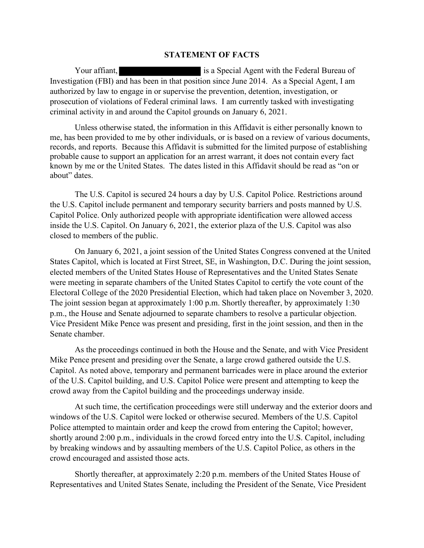## STATEMENT OF FACTS

Your affiant, is a Special Agent with the Federal Bureau of Investigation (FBI) and has been in that position since June 2014. As a Special Agent, I am authorized by law to engage in or supervise the prevention, detention, investigation, or prosecution of violations of Federal criminal laws. I am currently tasked with investigating criminal activity in and around the Capitol grounds on January 6, 2021.

 Unless otherwise stated, the information in this Affidavit is either personally known to me, has been provided to me by other individuals, or is based on a review of various documents, records, and reports. Because this Affidavit is submitted for the limited purpose of establishing probable cause to support an application for an arrest warrant, it does not contain every fact known by me or the United States. The dates listed in this Affidavit should be read as "on or about" dates.

The U.S. Capitol is secured 24 hours a day by U.S. Capitol Police. Restrictions around the U.S. Capitol include permanent and temporary security barriers and posts manned by U.S. Capitol Police. Only authorized people with appropriate identification were allowed access inside the U.S. Capitol. On January 6, 2021, the exterior plaza of the U.S. Capitol was also closed to members of the public.

On January 6, 2021, a joint session of the United States Congress convened at the United States Capitol, which is located at First Street, SE, in Washington, D.C. During the joint session, elected members of the United States House of Representatives and the United States Senate were meeting in separate chambers of the United States Capitol to certify the vote count of the Electoral College of the 2020 Presidential Election, which had taken place on November 3, 2020. The joint session began at approximately 1:00 p.m. Shortly thereafter, by approximately 1:30 p.m., the House and Senate adjourned to separate chambers to resolve a particular objection. Vice President Mike Pence was present and presiding, first in the joint session, and then in the Senate chamber. On January 6, 2021, a joint session of the United States Congress convened at the United<br>States Capitol, which is located at First Street, SE, in Washington, D.C. During the joint session,<br>elected members of the United Sta

 As the proceedings continued in both the House and the Senate, and with Vice President Mike Pence present and presiding over the Senate, a large crowd gathered outside the U.S. Capitol. As noted above, temporary and permanent barricades were in place around the exterior of the U.S. Capitol building, and U.S. Capitol Police were present and attempting to keep the crowd away from the Capitol building and the proceedings underway inside.

 At such time, the certification proceedings were still underway and the exterior doors and windows of the U.S. Capitol were locked or otherwise secured. Members of the U.S. Capitol shortly around 2:00 p.m., individuals in the crowd forced entry into the U.S. Capitol, including by breaking windows and by assaulting members of the U.S. Capitol Police, as others in the crowd encouraged and assisted those acts.

Shortly thereafter, at approximately 2:20 p.m. members of the United States House of Representatives and United States Senate, including the President of the Senate, Vice President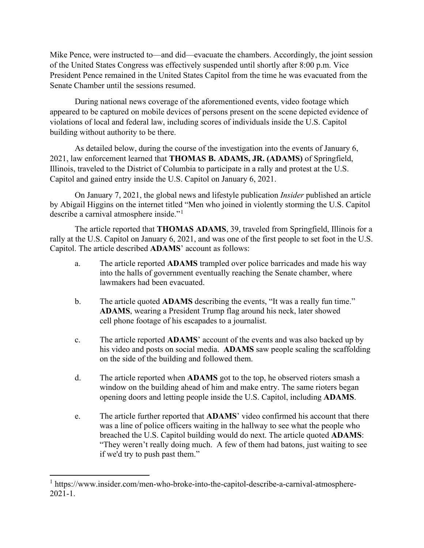Mike Pence, were instructed to—and did—evacuate the chambers. Accordingly, the joint session of the United States Congress was effectively suspended until shortly after 8:00 p.m. Vice President Pence remained in the United States Capitol from the time he was evacuated from the Senate Chamber until the sessions resumed. Mike Pence, were instructed to—and did—evacuate the chambers. Accordingly, the jof the United States Congress was effectively suspended until shortly after 8:00 p.m.<br>President Pence remained in the United States Capitol fr ence, were instructed to—and did—evacuate the chambers. Accordingly, the joint session<br>inticl States Congress was effectively suspended until shortly after 8:00 p.m. Vice<br>inticl States Congress was effectively suspended to

During national news coverage of the aforementioned events, video footage which appeared to be captured on mobile devices of persons present on the scene depicted evidence of violations of local and federal law, including scores of individuals inside the U.S. Capitol building without authority to be there. President Pence remained in the United States Capitol from the time he was evacuated from the<br>
Evariate Chamber until the sessions resumed.<br>
During national news coverage of the aforementioned events, video footage which<br>

As detailed below, during the course of the investigation into the events of January 6, 2021, law enforcement learned that THOMAS B. ADAMS, JR. (ADAMS) of Springfield, Illinois, traveled to the District of Columbia to participate in a rally and protest at the U.S.

 On January 7, 2021, the global news and lifestyle publication Insider published an article by Abigail Higgins on the internet titled "Men who joined in violently storming the U.S. Capitol describe a carnival atmosphere inside."<sup>1</sup> is uncerting that the model of the District of Columbia to participate in a rally and protest at the U.S.<br>
and gained entry inside the U.S. Capitol on January 6, 2021.<br>
On January 7, 2021, the global news and lifestyle pu and gamed entry inside the U.S. Caption on January 6, 2021.<br>
On January 7, 2021, the global news and lifestyle publication *Insider* publishees and the internet titled "Men who joined in violently storming the U.<br>
The art

rally at the U.S. Capitol on January 6, 2021, and was one of the first people to set foot in the U.S.

- a. The article reported ADAMS trampled over police barricades and made his way into the halls of government eventually reaching the Senate chamber, where lawmakers had been evacuated.
- b. The article quoted ADAMS describing the events, "It was a really fun time." ADAMS, wearing a President Trump flag around his neck, later showed cell phone footage of his escapades to a journalist.
- his video and posts on social media. ADAMS saw people scaling the scaffolding
- d. The article reported when ADAMS got to the top, he observed rioters smash a window on the building ahead of him and make entry. The same rioters began opening doors and letting people inside the U.S. Capitol, including ADAMS.
- rally at U.S. Capitol on January 6, 2021, and was one of the first people to set foot in the U.S.<br>Capitol. The article described **ADAMS'** account as follows:<br>
a. The article reported **ADAMS** faceount as follows:<br>
The arti was a line of police officers waiting in the hallway to see what the people who breached the U.S. Capitol building would do next. The article quoted ADAMS: "They weren't really doing much. A few of them had batons, just waiting to see Interaction of the manner of them. The article quoted ADAMS describing the events, "It was a really fun<br>ADAMS, wearing a President Trump flag around his neck, later showed cell phone footage of his escapades to a journalis

<sup>&</sup>lt;sup>1</sup> https://www.insider.com/men-who-broke-into-the-capitol-describe-a-carnival-atmosphere-2021-1.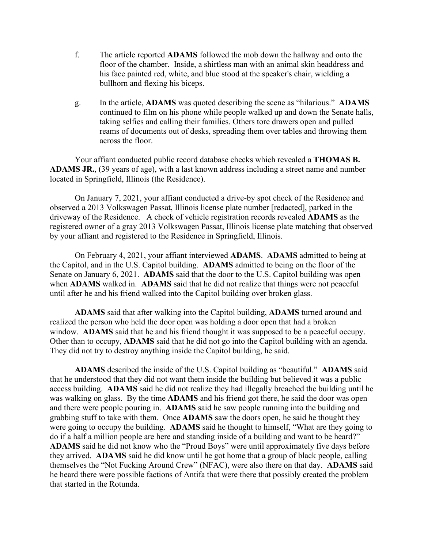- f. The article reported ADAMS followed the mob down the hallway and onto the floor of the chamber. Inside, a shirtless man with an animal skin headdress and his face painted red, white, and blue stood at the speaker's chair, wielding a bullhorn and flexing his biceps.
- g. In the article, ADAMS was quoted describing the scene as "hilarious." ADAMS continued to film on his phone while people walked up and down the Senate halls, taking selfies and calling their families. Others tore drawers open and pulled reams of documents out of desks, spreading them over tables and throwing them across the floor.

 Your affiant conducted public record database checks which revealed a THOMAS B. ADAMS JR., (39 years of age), with a last known address including a street name and number located in Springfield, Illinois (the Residence).

 On January 7, 2021, your affiant conducted a drive-by spot check of the Residence and observed a 2013 Volkswagen Passat, Illinois license plate number [redacted], parked in the driveway of the Residence. A check of vehicle registration records revealed ADAMS as the registered owner of a gray 2013 Volkswagen Passat, Illinois license plate matching that observed by your affiant and registered to the Residence in Springfield, Illinois. union and more through the and the state of the Capitol building and a propose that alter he and his friend walked is the and the capitol of the Capitol and the capitol of the Residence).<br>
Your affiant conducted public rec

 On February 4, 2021, your affiant interviewed ADAMS. ADAMS admitted to being at the Capitol, and in the U.S. Capitol building. ADAMS admitted to being on the floor of the Senate on January 6, 2021. **ADAMS** said that the door to the U.S. Capitol building was open when ADAMS walked in. ADAMS said that he did not realize that things were not peaceful

ADAMS said that after walking into the Capitol building, ADAMS turned around and realized the person who held the door open was holding a door open that had a broken window. **ADAMS** said that he and his friend thought it was supposed to be a peaceful occupy. Other than to occupy, ADAMS said that he did not go into the Capitol building with an agenda. They did not try to destroy anything inside the Capitol building, he said.

ADAMS described the inside of the U.S. Capitol building as "beautiful." ADAMS said that he understood that they did not want them inside the building but believed it was a public access building. ADAMS said he did not realize they had illegally breached the building until he was walking on glass. By the time ADAMS and his friend got there, he said the door was open and there were people pouring in. ADAMS said he saw people running into the building and grabbing stuff to take with them. Once ADAMS saw the doors open, he said he thought they were going to occupy the building. ADAMS said he thought to himself, "What are they going to do if a half a million people are here and standing inside of a building and want to be heard?" ADAMS said he did not know who the "Proud Boys" were until approximately five days before other **ADAMS** said that he did the complex in the same when the same of the same when **ADAMS** said that a flor the Capitol building over broken glass.<br> **ADAMS** said that a flor to the Capitol building over broken glass.<br> themselves the "Not Fucking Around Crew" (NFAC), were also there on that day. ADAMS said **hearty hearty hearty hearty hearty hearty hearty hearty hearty hearty hearty hearty hearty hearty hearty hearty hearty hearty hearty hearty hearty hearty hearty hearty heart** that started in the Rotunda.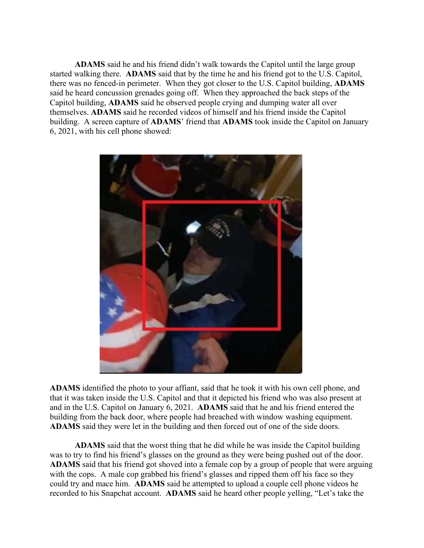ADAMS said he and his friend didn't walk towards the Capitol until the large group **ADAMS** said he and his friend didn't walk towards the Capitol until the large group<br>started walking there. **ADAMS** said that by the time he and his friend got to the U.S. Capitol,<br>there was no fenced-in perimeter. When th there was no fenced-in perimeter. When they got closer to the U.S. Capitol building, ADAMS said he heard concussion grenades going off. When they approached the back steps of the Capitol building, ADAMS said he observed people crying and dumping water all over themselves. ADAMS said he recorded videos of himself and his friend inside the Capitol building. A screen capture of ADAMS' friend that ADAMS took inside the Capitol on January 6, 2021, with his cell phone showed:



ADAMS identified the photo to your affiant, said that he took it with his own cell phone, and that it was taken inside the U.S. Capitol and that it depicted his friend who was also present at and in the U.S. Capitol on January 6, 2021. ADAMS said that he and his friend entered the building from the back door, where people had breached with window washing equipment. ADAMS said they were let in the building and then forced out of one of the side doors.

ADAMS said that the worst thing that he did while he was inside the Capitol building was to try to find his friend's glasses on the ground as they were being pushed out of the door. ADAMS said that his friend got shoved into a female cop by a group of people that were arguing with the cops. A male cop grabbed his friend's glasses and ripped them off his face so they could try and mace him. ADAMS said he attempted to upload a couple cell phone videos he recorded to his Snapchat account. ADAMS said he heard other people yelling, "Let's take the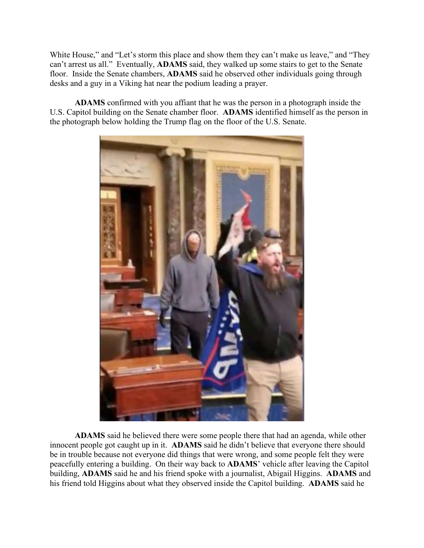White House," and "Let's storm this place and show them they can't make us leave," and "They can't arrest us all." Eventually, **ADAMS** said, they walked up some stairs to get to the Senate floor. Inside the Senate chambers can't arrest us all." Eventually, ADAMS said, they walked up some stairs to get to the Senate floor. Inside the Senate chambers, **ADAMS** said he observed other individuals going through desks and a guy in a Viking hat near the podium leading a prayer.

ADAMS confirmed with you affiant that he was the person in a photograph inside the U.S. Capitol building on the Senate chamber floor. ADAMS identified himself as the person in the photograph below holding the Trump flag on the floor of the U.S. Senate.



ADAMS said he believed there were some people there that had an agenda, while other his friend told Higgins about what they observed inside the Capitol building. ADAMS said he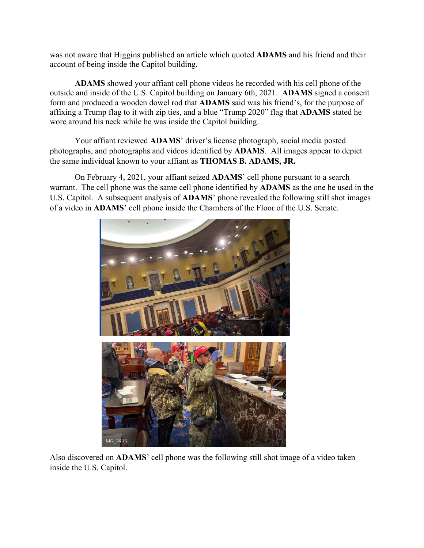account of being inside the Capitol building.

was not aware that Higgins published an article which quoted **ADAMS** and his friend and their<br>account of being inside the Capitol building.<br>**ADAMS** showed your affiant cell phone videos he recorded with his cell phone of t ADAMS showed your affiant cell phone videos he recorded with his cell phone of the outside and inside of the U.S. Capitol building on January 6th, 2021. ADAMS signed a consent form and produced a wooden dowel rod that ADAMS said was his friend's, for the purpose of affixing a Trump flag to it with zip ties, and a blue "Trump 2020" flag that ADAMS stated he wore around his neck while he was inside the Capitol building.

 Your affiant reviewed ADAMS' driver's license photograph, social media posted photographs, and photographs and videos identified by ADAMS. All images appear to depict the same individual known to your affiant as THOMAS B. ADAMS, JR.

 On February 4, 2021, your affiant seized ADAMS' cell phone pursuant to a search warrant. The cell phone was the same cell phone identified by ADAMS as the one he used in the U.S. Capitol. A subsequent analysis of ADAMS' phone revealed the following still shot images of a video in ADAMS' cell phone inside the Chambers of the Floor of the U.S. Senate.



inside the U.S. Capitol.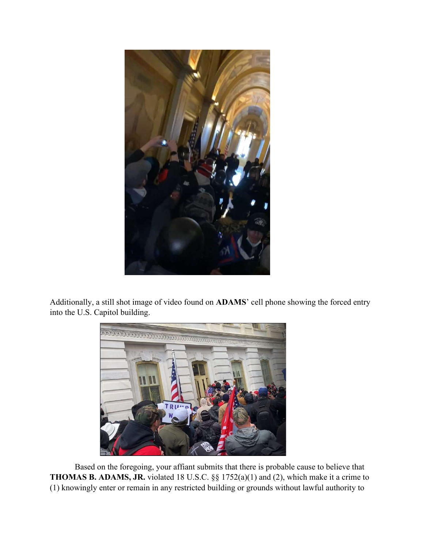

into the U.S. Capitol building.



Based on the foregoing, your affiant submits that there is probable cause to believe that THOMAS B. ADAMS, JR. violated 18 U.S.C. §§ 1752(a)(1) and (2), which make it a crime to (1) knowingly enter or remain in any restricted building or grounds without lawful authority to